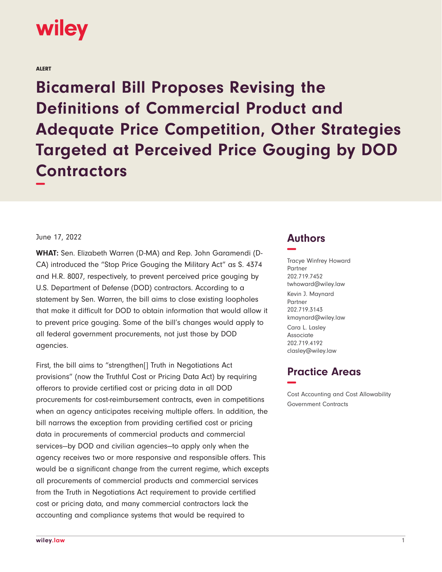## wiley

ALERT

**Bicameral Bill Proposes Revising the Definitions of Commercial Product and Adequate Price Competition, Other Strategies Targeted at Perceived Price Gouging by DOD Contractors −**

## June 17, 2022

**WHAT:** Sen. Elizabeth Warren (D-MA) and Rep. John Garamendi (D-CA) introduced the "Stop Price Gouging the Military Act" as S. 4374 and H.R. 8007, respectively, to prevent perceived price gouging by U.S. Department of Defense (DOD) contractors. According to a statement by Sen. Warren, the bill aims to close existing loopholes that make it difficult for DOD to obtain information that would allow it to prevent price gouging. Some of the bill's changes would apply to all federal government procurements, not just those by DOD agencies.

First, the bill aims to "strengthen[] Truth in Negotiations Act provisions" (now the Truthful Cost or Pricing Data Act) by requiring offerors to provide certified cost or pricing data in all DOD procurements for cost-reimbursement contracts, even in competitions when an agency anticipates receiving multiple offers. In addition, the bill narrows the exception from providing certified cost or pricing data in procurements of commercial products and commercial services—by DOD and civilian agencies—to apply only when the agency receives two or more responsive and responsible offers. This would be a significant change from the current regime, which excepts all procurements of commercial products and commercial services from the Truth in Negotiations Act requirement to provide certified cost or pricing data, and many commercial contractors lack the accounting and compliance systems that would be required to

## **Authors −**

Tracye Winfrey Howard Partner 202.719.7452 twhoward@wiley.law Kevin J. Maynard Partner 202.719.3143 kmaynard@wiley.law Cara L. Lasley Associate 202.719.4192

## **Practice Areas −**

clasley@wiley.law

Cost Accounting and Cost Allowability Government Contracts